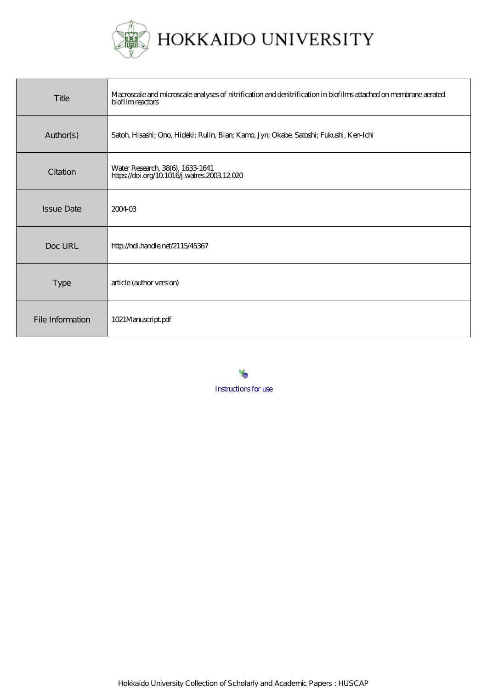

| Title             | Macroscale and microscale analyses of nitrification and denitrification in biofilms attached on membrane aerated<br>biofilm reactors |
|-------------------|--------------------------------------------------------------------------------------------------------------------------------------|
| Author(s)         | Satoh, Hisashi; Ono, Hideki; Rulin, Bian; Kamo, Jyn; Okabe, Satoshi; Fukushi, Ken-Ichi                                               |
| Citation          | Water Research, 38(6), 1633-1641<br>https://doi.org/10.1016j.watres.2003.12.020                                                      |
| <b>Issue Date</b> | 200403                                                                                                                               |
| Doc URL           | http://hdl.handle.net/2115/45367                                                                                                     |
| <b>Type</b>       | article (author version)                                                                                                             |
| File Information  | 1021Manuscript.pdf                                                                                                                   |



Hokkaido University Collection of Scholarly and Academic Papers : HUSCAP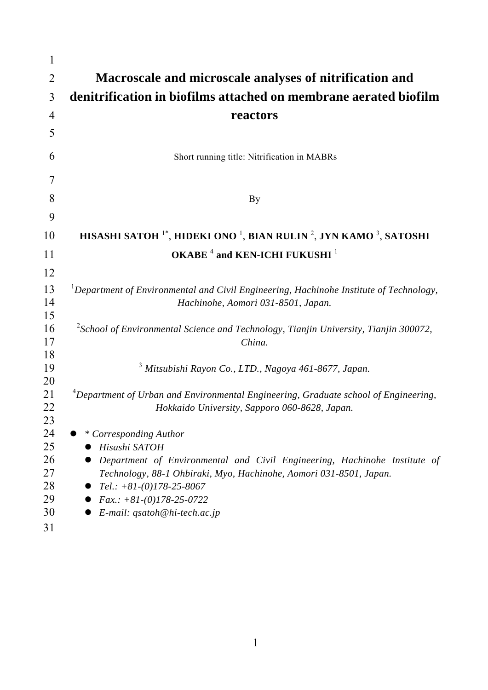| Macroscale and microscale analyses of nitrification and                                                                                                                                                                                                                                   |
|-------------------------------------------------------------------------------------------------------------------------------------------------------------------------------------------------------------------------------------------------------------------------------------------|
| denitrification in biofilms attached on membrane aerated biofilm                                                                                                                                                                                                                          |
| reactors                                                                                                                                                                                                                                                                                  |
|                                                                                                                                                                                                                                                                                           |
| Short running title: Nitrification in MABRs                                                                                                                                                                                                                                               |
|                                                                                                                                                                                                                                                                                           |
| By                                                                                                                                                                                                                                                                                        |
|                                                                                                                                                                                                                                                                                           |
| HISASHI SATOH <sup>1*</sup> , HIDEKI ONO <sup>1</sup> , BIAN RULIN <sup>2</sup> , JYN KAMO <sup>3</sup> , SATOSHI                                                                                                                                                                         |
| OKABE <sup>4</sup> and KEN-ICHI FUKUSHI <sup>1</sup>                                                                                                                                                                                                                                      |
|                                                                                                                                                                                                                                                                                           |
| <sup>1</sup> Department of Environmental and Civil Engineering, Hachinohe Institute of Technology,<br>Hachinohe, Aomori 031-8501, Japan.                                                                                                                                                  |
| $2$ School of Environmental Science and Technology, Tianjin University, Tianjin 300072,<br>China.                                                                                                                                                                                         |
| <sup>3</sup> Mitsubishi Rayon Co., LTD., Nagoya 461-8677, Japan.                                                                                                                                                                                                                          |
| ${}^{4}$ Department of Urban and Environmental Engineering, Graduate school of Engineering,<br>Hokkaido University, Sapporo 060-8628, Japan.                                                                                                                                              |
| * Corresponding Author<br>Hisashi SATOH<br>Department of Environmental and Civil Engineering, Hachinohe Institute of<br>Technology, 88-1 Ohbiraki, Myo, Hachinohe, Aomori 031-8501, Japan.<br>$Tel.: +81-(0)178-25-8067$<br>$Fax.: +81-(0)178-25-0722$<br>$E$ -mail: qsatoh@hi-tech.ac.jp |
|                                                                                                                                                                                                                                                                                           |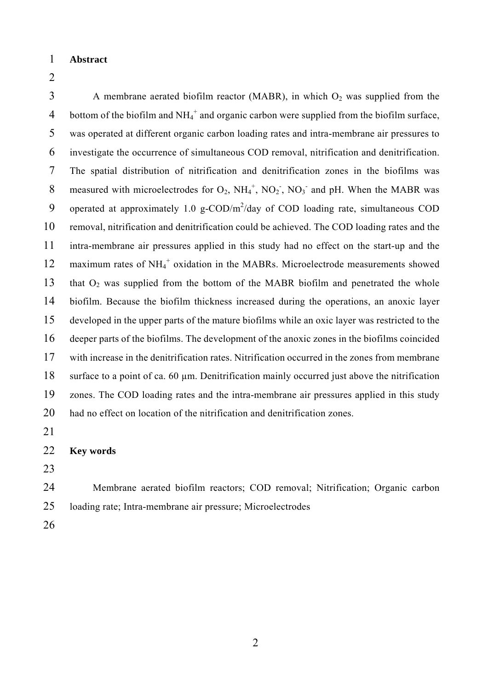- 1 **Abstract**
- 2

3 A membrane aerated biofilm reactor (MABR), in which  $O_2$  was supplied from the 4 bottom of the biofilm and  $NH_4^+$  and organic carbon were supplied from the biofilm surface, 5 was operated at different organic carbon loading rates and intra-membrane air pressures to 6 investigate the occurrence of simultaneous COD removal, nitrification and denitrification. 7 The spatial distribution of nitrification and denitrification zones in the biofilms was 8 measured with microelectrodes for  $O_2$ ,  $NH_4^+$ ,  $NO_2^-$ ,  $NO_3^-$  and pH. When the MABR was 9 operated at approximately 1.0 g-COD/ $m^2$ /day of COD loading rate, simultaneous COD 10 removal, nitrification and denitrification could be achieved. The COD loading rates and the 11 intra-membrane air pressures applied in this study had no effect on the start-up and the 12 maximum rates of NH<sub>4</sub><sup>+</sup> oxidation in the MABRs. Microelectrode measurements showed 13 that  $O_2$  was supplied from the bottom of the MABR biofilm and penetrated the whole 14 biofilm. Because the biofilm thickness increased during the operations, an anoxic layer 15 developed in the upper parts of the mature biofilms while an oxic layer was restricted to the 16 deeper parts of the biofilms. The development of the anoxic zones in the biofilms coincided 17 with increase in the denitrification rates. Nitrification occurred in the zones from membrane 18 surface to a point of ca. 60 µm. Denitrification mainly occurred just above the nitrification 19 zones. The COD loading rates and the intra-membrane air pressures applied in this study 20 had no effect on location of the nitrification and denitrification zones.

21

| 22 |  | <b>Key words</b> |
|----|--|------------------|
|----|--|------------------|

- 23
- 24 Membrane aerated biofilm reactors; COD removal; Nitrification; Organic carbon 25 loading rate; Intra-membrane air pressure; Microelectrodes
- 26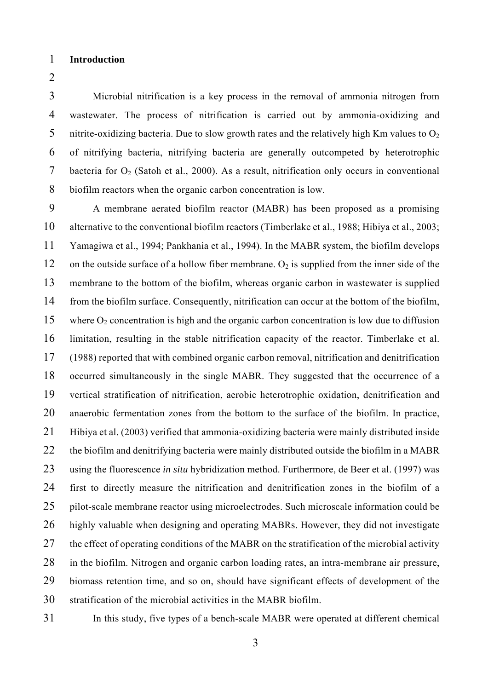- 1 **Introduction**
- 2

3 Microbial nitrification is a key process in the removal of ammonia nitrogen from 4 wastewater. The process of nitrification is carried out by ammonia-oxidizing and 5 nitrite-oxidizing bacteria. Due to slow growth rates and the relatively high Km values to  $O<sub>2</sub>$ 6 of nitrifying bacteria, nitrifying bacteria are generally outcompeted by heterotrophic 7 bacteria for  $O_2$  (Satoh et al., 2000). As a result, nitrification only occurs in conventional 8 biofilm reactors when the organic carbon concentration is low.

9 A membrane aerated biofilm reactor (MABR) has been proposed as a promising 10 alternative to the conventional biofilm reactors (Timberlake et al., 1988; Hibiya et al., 2003; 11 Yamagiwa et al., 1994; Pankhania et al., 1994). In the MABR system, the biofilm develops 12 on the outside surface of a hollow fiber membrane.  $O_2$  is supplied from the inner side of the 13 membrane to the bottom of the biofilm, whereas organic carbon in wastewater is supplied 14 from the biofilm surface. Consequently, nitrification can occur at the bottom of the biofilm, 15 where  $O_2$  concentration is high and the organic carbon concentration is low due to diffusion 16 limitation, resulting in the stable nitrification capacity of the reactor. Timberlake et al. 17 (1988) reported that with combined organic carbon removal, nitrification and denitrification 18 occurred simultaneously in the single MABR. They suggested that the occurrence of a 19 vertical stratification of nitrification, aerobic heterotrophic oxidation, denitrification and 20 anaerobic fermentation zones from the bottom to the surface of the biofilm. In practice, 21 Hibiya et al. (2003) verified that ammonia-oxidizing bacteria were mainly distributed inside 22 the biofilm and denitrifying bacteria were mainly distributed outside the biofilm in a MABR 23 using the fluorescence *in situ* hybridization method. Furthermore, de Beer et al. (1997) was 24 first to directly measure the nitrification and denitrification zones in the biofilm of a 25 pilot-scale membrane reactor using microelectrodes. Such microscale information could be 26 highly valuable when designing and operating MABRs. However, they did not investigate 27 the effect of operating conditions of the MABR on the stratification of the microbial activity 28 in the biofilm. Nitrogen and organic carbon loading rates, an intra-membrane air pressure, 29 biomass retention time, and so on, should have significant effects of development of the 30 stratification of the microbial activities in the MABR biofilm.

31 In this study, five types of a bench-scale MABR were operated at different chemical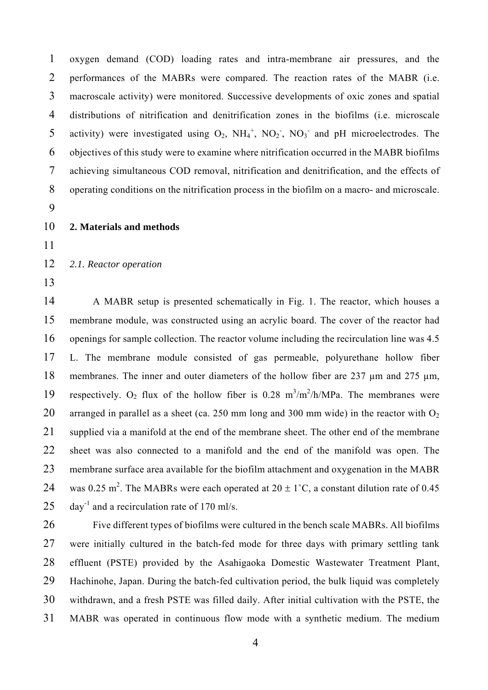1 oxygen demand (COD) loading rates and intra-membrane air pressures, and the 2 performances of the MABRs were compared. The reaction rates of the MABR (i.e. 3 macroscale activity) were monitored. Successive developments of oxic zones and spatial 4 distributions of nitrification and denitrification zones in the biofilms (i.e. microscale 5 activity) were investigated using  $O_2$ ,  $NH_4^+$ ,  $NO_2^-$ ,  $NO_3^-$  and pH microelectrodes. The 6 objectives of this study were to examine where nitrification occurred in the MABR biofilms 7 achieving simultaneous COD removal, nitrification and denitrification, and the effects of 8 operating conditions on the nitrification process in the biofilm on a macro- and microscale.

- 9
- 10 **2. Materials and methods**
- 11

12 *2.1. Reactor operation* 

13

14 A MABR setup is presented schematically in Fig. 1. The reactor, which houses a 15 membrane module, was constructed using an acrylic board. The cover of the reactor had 16 openings for sample collection. The reactor volume including the recirculation line was 4.5 17 L. The membrane module consisted of gas permeable, polyurethane hollow fiber 18 membranes. The inner and outer diameters of the hollow fiber are 237  $\mu$ m and 275  $\mu$ m, 19 respectively.  $O_2$  flux of the hollow fiber is 0.28 m<sup>3</sup>/m<sup>2</sup>/h/MPa. The membranes were 20 arranged in parallel as a sheet (ca. 250 mm long and 300 mm wide) in the reactor with  $O_2$ 21 supplied via a manifold at the end of the membrane sheet. The other end of the membrane 22 sheet was also connected to a manifold and the end of the manifold was open. The 23 membrane surface area available for the biofilm attachment and oxygenation in the MABR 24 was 0.25 m<sup>2</sup>. The MABRs were each operated at  $20 \pm 1^{\circ}$ C, a constant dilution rate of 0.45 25 day<sup>-1</sup> and a recirculation rate of 170 ml/s.

26 Five different types of biofilms were cultured in the bench scale MABRs. All biofilms 27 were initially cultured in the batch-fed mode for three days with primary settling tank 28 effluent (PSTE) provided by the Asahigaoka Domestic Wastewater Treatment Plant, 29 Hachinohe, Japan. During the batch-fed cultivation period, the bulk liquid was completely 30 withdrawn, and a fresh PSTE was filled daily. After initial cultivation with the PSTE, the 31 MABR was operated in continuous flow mode with a synthetic medium. The medium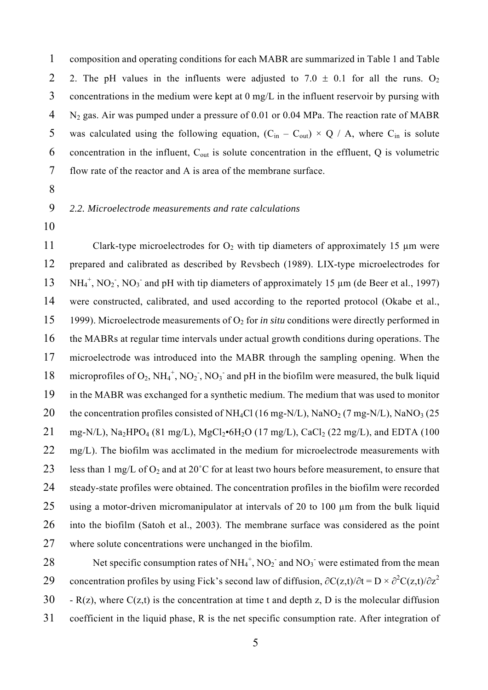1 composition and operating conditions for each MABR are summarized in Table 1 and Table 2 2. The pH values in the influents were adjusted to  $7.0 \pm 0.1$  for all the runs. O<sub>2</sub> 3 concentrations in the medium were kept at 0 mg/L in the influent reservoir by pursing with 4 N<sub>2</sub> gas. Air was pumped under a pressure of 0.01 or 0.04 MPa. The reaction rate of MABR 5 was calculated using the following equation,  $(C_{in} - C_{out}) \times Q / A$ , where  $C_{in}$  is solute 6 concentration in the influent,  $C_{\text{out}}$  is solute concentration in the effluent, Q is volumetric 7 flow rate of the reactor and A is area of the membrane surface.

8

#### 9 *2.2. Microelectrode measurements and rate calculations*

10

11 Clark-type microelectrodes for  $O_2$  with tip diameters of approximately 15  $\mu$ m were 12 prepared and calibrated as described by Revsbech (1989). LIX-type microelectrodes for  $13 \text{ NH}_4^+$ , NO<sub>2</sub>, NO<sub>3</sub> and pH with tip diameters of approximately 15  $\mu$ m (de Beer et al., 1997) 14 were constructed, calibrated, and used according to the reported protocol (Okabe et al., 15 1999). Microelectrode measurements of O2 for *in situ* conditions were directly performed in 16 the MABRs at regular time intervals under actual growth conditions during operations. The 17 microelectrode was introduced into the MABR through the sampling opening. When the 18 microprofiles of  $O_2$ , NH<sub>4</sub><sup>+</sup>, NO<sub>2</sub>, NO<sub>3</sub><sup>-</sup> and pH in the biofilm were measured, the bulk liquid 19 in the MABR was exchanged for a synthetic medium. The medium that was used to monitor 20 the concentration profiles consisted of NH<sub>4</sub>Cl (16 mg-N/L), NaNO<sub>2</sub> (7 mg-N/L), NaNO<sub>3</sub> (25 21 mg-N/L), Na<sub>2</sub>HPO<sub>4</sub> (81 mg/L), MgCl<sub>2</sub>•6H<sub>2</sub>O (17 mg/L), CaCl<sub>2</sub> (22 mg/L), and EDTA (100 22 mg/L). The biofilm was acclimated in the medium for microelectrode measurements with 23 less than 1 mg/L of  $O_2$  and at 20°C for at least two hours before measurement, to ensure that 24 steady-state profiles were obtained. The concentration profiles in the biofilm were recorded 25 using a motor-driven micromanipulator at intervals of 20 to 100 um from the bulk liquid 26 into the biofilm (Satoh et al., 2003). The membrane surface was considered as the point 27 where solute concentrations were unchanged in the biofilm.

28 Net specific consumption rates of  $NH_4^+$ ,  $NO_2^-$  and  $NO_3^-$  were estimated from the mean 29 concentration profiles by using Fick's second law of diffusion,  $\partial C(z,t)/\partial t = D \times \partial^2 C(z,t)/\partial z^2$ 30 - R(z), where  $C(z,t)$  is the concentration at time t and depth z, D is the molecular diffusion 31 coefficient in the liquid phase, R is the net specific consumption rate. After integration of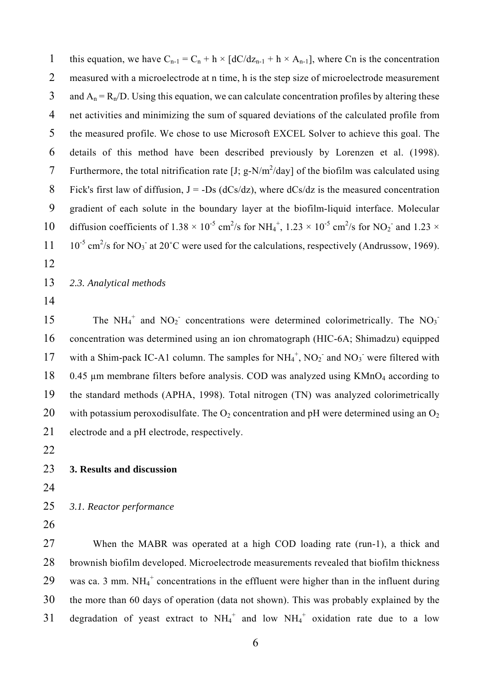1 this equation, we have  $C_{n-1} = C_n + h \times [dC/dz_{n-1} + h \times A_{n-1}]$ , where Cn is the concentration 2 measured with a microelectrode at n time, h is the step size of microelectrode measurement 3 and  $A_n = R_n/D$ . Using this equation, we can calculate concentration profiles by altering these 4 net activities and minimizing the sum of squared deviations of the calculated profile from 5 the measured profile. We chose to use Microsoft EXCEL Solver to achieve this goal. The 6 details of this method have been described previously by Lorenzen et al. (1998). 7 Furthermore, the total nitrification rate  $[J; g-N/m^2/day]$  of the biofilm was calculated using 8 Fick's first law of diffusion,  $J = -Ds$  (dCs/dz), where dCs/dz is the measured concentration 9 gradient of each solute in the boundary layer at the biofilm-liquid interface. Molecular 10 diffusion coefficients of  $1.38 \times 10^{-5}$  cm<sup>2</sup>/s for NH<sub>4</sub><sup>+</sup>,  $1.23 \times 10^{-5}$  cm<sup>2</sup>/s for NO<sub>2</sub><sup>-</sup> and  $1.23 \times$  $11 \quad 10^{-5}$  cm<sup>2</sup>/s for NO<sub>3</sub><sup>-</sup> at 20<sup>°</sup>C were used for the calculations, respectively (Andrussow, 1969).

- 12
- 13 *2.3. Analytical methods*
- 14

15 The  $NH_4^+$  and  $NO_2^-$  concentrations were determined colorimetrically. The  $NO_3^-$ 16 concentration was determined using an ion chromatograph (HIC-6A; Shimadzu) equipped 17 with a Shim-pack IC-A1 column. The samples for  $NH_4^+$ ,  $NO_2^-$  and  $NO_3^-$  were filtered with 18 0.45  $\mu$ m membrane filters before analysis. COD was analyzed using KMnO<sub>4</sub> according to 19 the standard methods (APHA, 1998). Total nitrogen (TN) was analyzed colorimetrically 20 with potassium peroxodisulfate. The  $O_2$  concentration and pH were determined using an  $O_2$ 21 electrode and a pH electrode, respectively.

- 22
- 23 **3. Results and discussion**
- 24

25 *3.1. Reactor performance* 

26

27 When the MABR was operated at a high COD loading rate (run-1), a thick and 28 brownish biofilm developed. Microelectrode measurements revealed that biofilm thickness 29 was ca. 3 mm.  $NH_4^+$  concentrations in the effluent were higher than in the influent during 30 the more than 60 days of operation (data not shown). This was probably explained by the 31 degradation of yeast extract to  $NH_4^+$  and low  $NH_4^+$  oxidation rate due to a low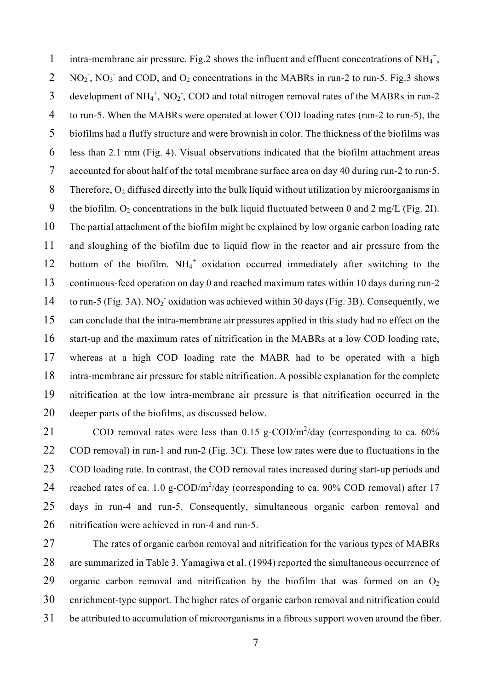1 intra-membrane air pressure. Fig.2 shows the influent and effluent concentrations of  $NH_4^+$ , 2 NO<sub>2</sub>, NO<sub>3</sub> and COD, and O<sub>2</sub> concentrations in the MABRs in run-2 to run-5. Fig.3 shows 3 development of  $NH_4^+$ ,  $NO_2^-$ , COD and total nitrogen removal rates of the MABRs in run-2 4 to run-5. When the MABRs were operated at lower COD loading rates (run-2 to run-5), the 5 biofilms had a fluffy structure and were brownish in color. The thickness of the biofilms was 6 less than 2.1 mm (Fig. 4). Visual observations indicated that the biofilm attachment areas 7 accounted for about half of the total membrane surface area on day 40 during run-2 to run-5. 8 Therefore,  $O_2$  diffused directly into the bulk liquid without utilization by microorganisms in 9 the biofilm.  $O_2$  concentrations in the bulk liquid fluctuated between 0 and 2 mg/L (Fig. 2I). 10 The partial attachment of the biofilm might be explained by low organic carbon loading rate 11 and sloughing of the biofilm due to liquid flow in the reactor and air pressure from the 12 bottom of the biofilm. NH<sub>4</sub><sup>+</sup> oxidation occurred immediately after switching to the 13 continuous-feed operation on day 0 and reached maximum rates within 10 days during run-2 14 to run-5 (Fig. 3A). NO<sub>2</sub> oxidation was achieved within 30 days (Fig. 3B). Consequently, we 15 can conclude that the intra-membrane air pressures applied in this study had no effect on the 16 start-up and the maximum rates of nitrification in the MABRs at a low COD loading rate, 17 whereas at a high COD loading rate the MABR had to be operated with a high 18 intra-membrane air pressure for stable nitrification. A possible explanation for the complete 19 nitrification at the low intra-membrane air pressure is that nitrification occurred in the 20 deeper parts of the biofilms, as discussed below.

21 COD removal rates were less than  $0.15$  g-COD/m<sup>2</sup>/day (corresponding to ca. 60% 22 COD removal) in run-1 and run-2 (Fig. 3C). These low rates were due to fluctuations in the 23 COD loading rate. In contrast, the COD removal rates increased during start-up periods and 24 reached rates of ca. 1.0 g-COD/ $m^2$ /day (corresponding to ca. 90% COD removal) after 17 25 days in run-4 and run-5. Consequently, simultaneous organic carbon removal and 26 nitrification were achieved in run-4 and run-5.

27 The rates of organic carbon removal and nitrification for the various types of MABRs 28 are summarized in Table 3. Yamagiwa et al. (1994) reported the simultaneous occurrence of 29 organic carbon removal and nitrification by the biofilm that was formed on an  $O_2$ 30 enrichment-type support. The higher rates of organic carbon removal and nitrification could 31 be attributed to accumulation of microorganisms in a fibrous support woven around the fiber.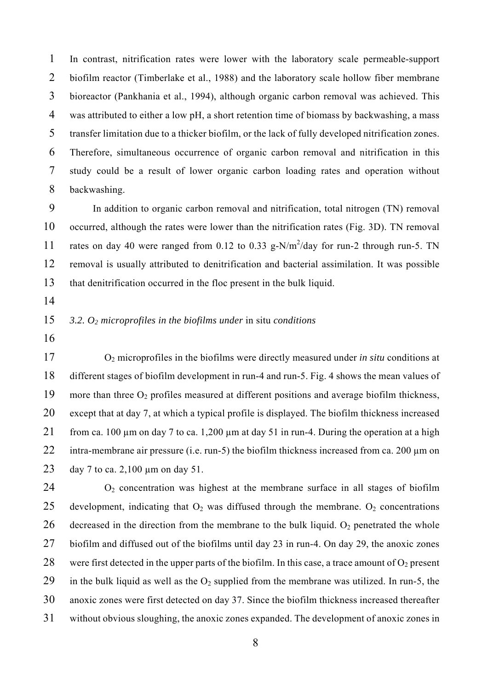1 In contrast, nitrification rates were lower with the laboratory scale permeable-support 2 biofilm reactor (Timberlake et al., 1988) and the laboratory scale hollow fiber membrane 3 bioreactor (Pankhania et al., 1994), although organic carbon removal was achieved. This 4 was attributed to either a low pH, a short retention time of biomass by backwashing, a mass 5 transfer limitation due to a thicker biofilm, or the lack of fully developed nitrification zones. 6 Therefore, simultaneous occurrence of organic carbon removal and nitrification in this 7 study could be a result of lower organic carbon loading rates and operation without 8 backwashing.

9 In addition to organic carbon removal and nitrification, total nitrogen (TN) removal 10 occurred, although the rates were lower than the nitrification rates (Fig. 3D). TN removal 11 rates on day 40 were ranged from 0.12 to 0.33 g-N/m<sup>2</sup>/day for run-2 through run-5. TN 12 removal is usually attributed to denitrification and bacterial assimilation. It was possible 13 that denitrification occurred in the floc present in the bulk liquid.

14

## 15 *3.2. O2 microprofiles in the biofilms under* in situ *conditions*

16

17 O2 microprofiles in the biofilms were directly measured under *in situ* conditions at 18 different stages of biofilm development in run-4 and run-5. Fig. 4 shows the mean values of 19 more than three  $O_2$  profiles measured at different positions and average biofilm thickness, 20 except that at day 7, at which a typical profile is displayed. The biofilm thickness increased 21 from ca. 100  $\mu$ m on day 7 to ca. 1,200  $\mu$ m at day 51 in run-4. During the operation at a high 22 intra-membrane air pressure (i.e. run-5) the biofilm thickness increased from ca. 200  $\mu$ m on 23 day 7 to ca. 2,100 µm on day 51.

 $24$  O<sub>2</sub> concentration was highest at the membrane surface in all stages of biofilm 25 development, indicating that  $O_2$  was diffused through the membrane.  $O_2$  concentrations 26 decreased in the direction from the membrane to the bulk liquid.  $O_2$  penetrated the whole 27 biofilm and diffused out of the biofilms until day 23 in run-4. On day 29, the anoxic zones 28 were first detected in the upper parts of the biofilm. In this case, a trace amount of  $O_2$  present 29 in the bulk liquid as well as the  $O_2$  supplied from the membrane was utilized. In run-5, the 30 anoxic zones were first detected on day 37. Since the biofilm thickness increased thereafter 31 without obvious sloughing, the anoxic zones expanded. The development of anoxic zones in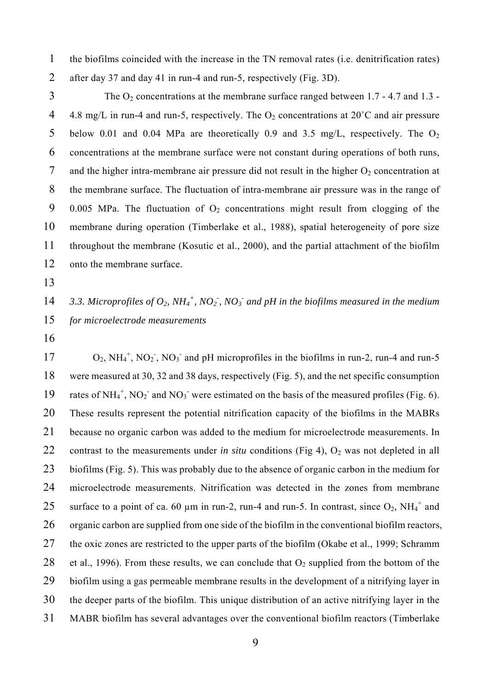1 the biofilms coincided with the increase in the TN removal rates (i.e. denitrification rates) 2 after day 37 and day 41 in run-4 and run-5, respectively (Fig. 3D).

 $3$  The O<sub>2</sub> concentrations at the membrane surface ranged between 1.7 - 4.7 and 1.3 -4 4.8 mg/L in run-4 and run-5, respectively. The  $O_2$  concentrations at  $20^{\circ}$ C and air pressure 5 below 0.01 and 0.04 MPa are theoretically 0.9 and 3.5 mg/L, respectively. The  $O_2$ 6 concentrations at the membrane surface were not constant during operations of both runs, 7 and the higher intra-membrane air pressure did not result in the higher  $O_2$  concentration at 8 the membrane surface. The fluctuation of intra-membrane air pressure was in the range of 9 0.005 MPa. The fluctuation of  $O_2$  concentrations might result from clogging of the 10 membrane during operation (Timberlake et al., 1988), spatial heterogeneity of pore size 11 throughout the membrane (Kosutic et al., 2000), and the partial attachment of the biofilm 12 onto the membrane surface.

13

14 3.3. Microprofiles of  $O_2$ ,  $NH_4^+$ ,  $NO_2^-$ ,  $NO_3^-$  and pH in the biofilms measured in the medium 15 *for microelectrode measurements* 

16

 $17 \qquad O_2$ ,  $NH_4^+$ ,  $NO_2^-$ ,  $NO_3^-$  and pH microprofiles in the biofilms in run-2, run-4 and run-5 18 were measured at 30, 32 and 38 days, respectively (Fig. 5), and the net specific consumption 19 rates of  $NH_4^+$ ,  $NO_2^-$  and  $NO_3^-$  were estimated on the basis of the measured profiles (Fig. 6). 20 These results represent the potential nitrification capacity of the biofilms in the MABRs 21 because no organic carbon was added to the medium for microelectrode measurements. In 22 contrast to the measurements under *in situ* conditions (Fig 4),  $O_2$  was not depleted in all 23 biofilms (Fig. 5). This was probably due to the absence of organic carbon in the medium for 24 microelectrode measurements. Nitrification was detected in the zones from membrane 25 surface to a point of ca. 60  $\mu$ m in run-2, run-4 and run-5. In contrast, since O<sub>2</sub>, NH<sub>4</sub><sup>+</sup> and 26 organic carbon are supplied from one side of the biofilm in the conventional biofilm reactors, 27 the oxic zones are restricted to the upper parts of the biofilm (Okabe et al., 1999; Schramm 28 et al., 1996). From these results, we can conclude that  $O_2$  supplied from the bottom of the 29 biofilm using a gas permeable membrane results in the development of a nitrifying layer in 30 the deeper parts of the biofilm. This unique distribution of an active nitrifying layer in the 31 MABR biofilm has several advantages over the conventional biofilm reactors (Timberlake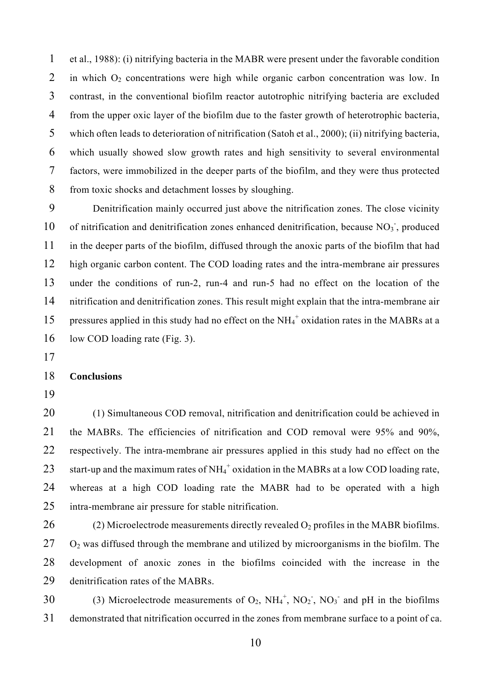1 et al., 1988): (i) nitrifying bacteria in the MABR were present under the favorable condition 2 in which  $O_2$  concentrations were high while organic carbon concentration was low. In 3 contrast, in the conventional biofilm reactor autotrophic nitrifying bacteria are excluded 4 from the upper oxic layer of the biofilm due to the faster growth of heterotrophic bacteria, 5 which often leads to deterioration of nitrification (Satoh et al., 2000); (ii) nitrifying bacteria, 6 which usually showed slow growth rates and high sensitivity to several environmental 7 factors, were immobilized in the deeper parts of the biofilm, and they were thus protected 8 from toxic shocks and detachment losses by sloughing.

9 Denitrification mainly occurred just above the nitrification zones. The close vicinity 10 of nitrification and denitrification zones enhanced denitrification, because NO<sub>3</sub>, produced 11 in the deeper parts of the biofilm, diffused through the anoxic parts of the biofilm that had 12 high organic carbon content. The COD loading rates and the intra-membrane air pressures 13 under the conditions of run-2, run-4 and run-5 had no effect on the location of the 14 nitrification and denitrification zones. This result might explain that the intra-membrane air 15 pressures applied in this study had no effect on the  $NH_4^+$  oxidation rates in the MABRs at a 16 low COD loading rate (Fig. 3).

17

#### 18 **Conclusions**

19

20 (1) Simultaneous COD removal, nitrification and denitrification could be achieved in 21 the MABRs. The efficiencies of nitrification and COD removal were 95% and 90%, 22 respectively. The intra-membrane air pressures applied in this study had no effect on the 23 start-up and the maximum rates of  $NH_4^+$  oxidation in the MABRs at a low COD loading rate, 24 whereas at a high COD loading rate the MABR had to be operated with a high 25 intra-membrane air pressure for stable nitrification.

26 (2) Microelectrode measurements directly revealed  $O_2$  profiles in the MABR biofilms.  $27$  O<sub>2</sub> was diffused through the membrane and utilized by microorganisms in the biofilm. The 28 development of anoxic zones in the biofilms coincided with the increase in the 29 denitrification rates of the MABRs.

30 (3) Microelectrode measurements of  $O_2$ ,  $NH_4^+$ ,  $NO_2^-$ ,  $NO_3^-$  and pH in the biofilms 31 demonstrated that nitrification occurred in the zones from membrane surface to a point of ca.

10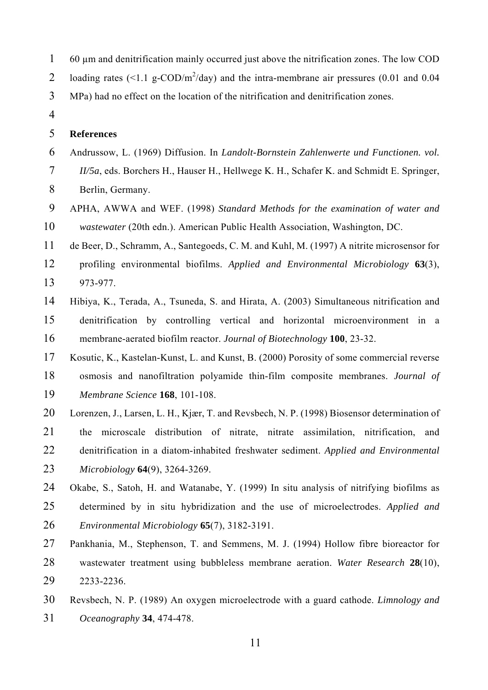- 1 60 µm and denitrification mainly occurred just above the nitrification zones. The low COD 2 loading rates  $\left($  <1.1 g-COD/m<sup>2</sup>/day) and the intra-membrane air pressures (0.01 and 0.04
- 3 MPa) had no effect on the location of the nitrification and denitrification zones.
- 4

#### 5 **References**

- 6 Andrussow, L. (1969) Diffusion. In *Landolt-Bornstein Zahlenwerte und Functionen. vol.*
- 7 *II/5a*, eds. Borchers H., Hauser H., Hellwege K. H., Schafer K. and Schmidt E. Springer,
- 8 Berlin, Germany.
- 9 APHA, AWWA and WEF. (1998) *Standard Methods for the examination of water and*  10 *wastewater* (20th edn.). American Public Health Association, Washington, DC.
- 11 de Beer, D., Schramm, A., Santegoeds, C. M. and Kuhl, M. (1997) A nitrite microsensor for
- 12 profiling environmental biofilms. *Applied and Environmental Microbiology* **63**(3), 13 973-977.
- 14 Hibiya, K., Terada, A., Tsuneda, S. and Hirata, A. (2003) Simultaneous nitrification and 15 denitrification by controlling vertical and horizontal microenvironment in a 16 membrane-aerated biofilm reactor. *Journal of Biotechnology* **100**, 23-32.
- 17 Kosutic, K., Kastelan-Kunst, L. and Kunst, B. (2000) Porosity of some commercial reverse 18 osmosis and nanofiltration polyamide thin-film composite membranes. *Journal of*  19 *Membrane Science* **168**, 101-108.
- 20 Lorenzen, J., Larsen, L. H., Kjær, T. and Revsbech, N. P. (1998) Biosensor determination of 21 the microscale distribution of nitrate, nitrate assimilation, nitrification, and 22 denitrification in a diatom-inhabited freshwater sediment. *Applied and Environmental*  23 *Microbiology* **64**(9), 3264-3269.
- 24 Okabe, S., Satoh, H. and Watanabe, Y. (1999) In situ analysis of nitrifying biofilms as 25 determined by in situ hybridization and the use of microelectrodes. *Applied and*  26 *Environmental Microbiology* **65**(7), 3182-3191.
- 27 Pankhania, M., Stephenson, T. and Semmens, M. J. (1994) Hollow fibre bioreactor for 28 wastewater treatment using bubbleless membrane aeration. *Water Research* **28**(10), 29 2233-2236.
- 30 Revsbech, N. P. (1989) An oxygen microelectrode with a guard cathode. *Limnology and*  31 *Oceanography* **34**, 474-478.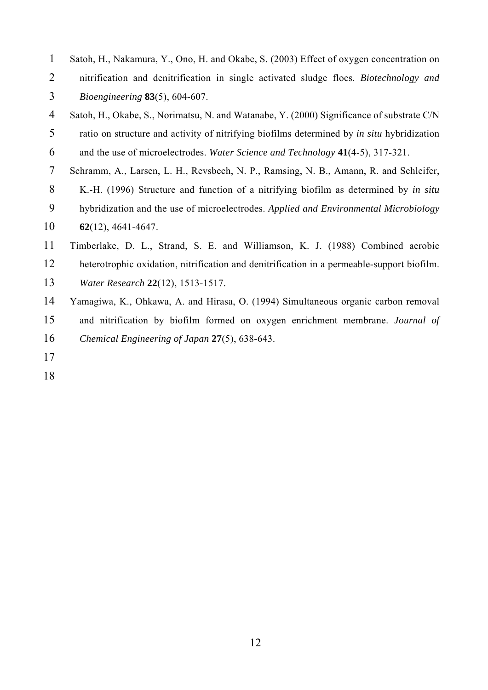- 1 Satoh, H., Nakamura, Y., Ono, H. and Okabe, S. (2003) Effect of oxygen concentration on 2 nitrification and denitrification in single activated sludge flocs. *Biotechnology and*  3 *Bioengineering* **83**(5), 604-607.
- 4 Satoh, H., Okabe, S., Norimatsu, N. and Watanabe, Y. (2000) Significance of substrate C/N 5 ratio on structure and activity of nitrifying biofilms determined by *in situ* hybridization
- 6 and the use of microelectrodes. *Water Science and Technology* **41**(4-5), 317-321.
- 7 Schramm, A., Larsen, L. H., Revsbech, N. P., Ramsing, N. B., Amann, R. and Schleifer,
- 8 K.-H. (1996) Structure and function of a nitrifying biofilm as determined by *in situ*
- 9 hybridization and the use of microelectrodes. *Applied and Environmental Microbiology*
- 10 **62**(12), 4641-4647.
- 11 Timberlake, D. L., Strand, S. E. and Williamson, K. J. (1988) Combined aerobic
- 12 heterotrophic oxidation, nitrification and denitrification in a permeable-support biofilm.
- 13 *Water Research* **22**(12), 1513-1517.
- 14 Yamagiwa, K., Ohkawa, A. and Hirasa, O. (1994) Simultaneous organic carbon removal
- 15 and nitrification by biofilm formed on oxygen enrichment membrane. *Journal of*
- 16 *Chemical Engineering of Japan* **27**(5), 638-643.
- 17
- 18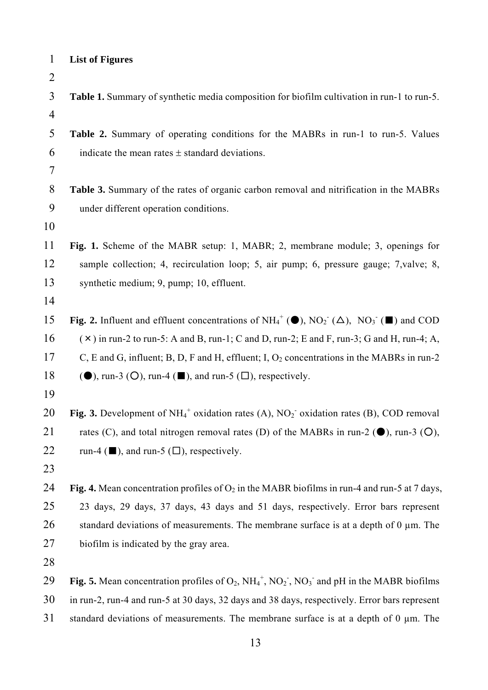| $\mathbf{1}$   | <b>List of Figures</b>                                                                                                |
|----------------|-----------------------------------------------------------------------------------------------------------------------|
| $\overline{2}$ |                                                                                                                       |
| 3              | Table 1. Summary of synthetic media composition for biofilm cultivation in run-1 to run-5.                            |
| $\overline{4}$ |                                                                                                                       |
| 5              | Table 2. Summary of operating conditions for the MABRs in run-1 to run-5. Values                                      |
| 6              | indicate the mean rates $\pm$ standard deviations.                                                                    |
| $\overline{7}$ |                                                                                                                       |
| 8              | Table 3. Summary of the rates of organic carbon removal and nitrification in the MABRs                                |
| 9              | under different operation conditions.                                                                                 |
| 10             |                                                                                                                       |
| 11             | Fig. 1. Scheme of the MABR setup: 1, MABR; 2, membrane module; 3, openings for                                        |
| 12             | sample collection; 4, recirculation loop; 5, air pump; 6, pressure gauge; 7, valve; 8,                                |
| 13             | synthetic medium; 9, pump; 10, effluent.                                                                              |
| 14             |                                                                                                                       |
| 15             | Fig. 2. Influent and effluent concentrations of $NH_4^+(\bullet)$ , $NO_2^-(\Delta)$ , $NO_3^-(\blacksquare)$ and COD |
| 16             | $(\times)$ in run-2 to run-5: A and B, run-1; C and D, run-2; E and F, run-3; G and H, run-4; A,                      |
| 17             | C, E and G, influent; B, D, F and H, effluent; I, $O_2$ concentrations in the MABRs in run-2                          |
| 18             | $(\bullet)$ , run-3 (O), run-4 ( $\blacksquare$ ), and run-5 ( $\square$ ), respectively.                             |
| 19             |                                                                                                                       |
| 20             | Fig. 3. Development of $NH_4^+$ oxidation rates (A), $NO_2^-$ oxidation rates (B), COD removal                        |
| 21             | rates (C), and total nitrogen removal rates (D) of the MABRs in run-2 ( $\bullet$ ), run-3 (O),                       |
| 22             | run-4 ( $\blacksquare$ ), and run-5 ( $\square$ ), respectively.                                                      |
| 23             |                                                                                                                       |
| 24             | Fig. 4. Mean concentration profiles of $O_2$ in the MABR biofilms in run-4 and run-5 at 7 days,                       |
| 25             | 23 days, 29 days, 37 days, 43 days and 51 days, respectively. Error bars represent                                    |
| 26             | standard deviations of measurements. The membrane surface is at a depth of $0 \mu$ m. The                             |
| 27             | biofilm is indicated by the gray area.                                                                                |
| 28             |                                                                                                                       |
| 29             | <b>Fig. 5.</b> Mean concentration profiles of $O_2$ , $NH_4^+$ , $NO_2^-$ , $NO_3^-$ and pH in the MABR biofilms      |
| 30             | in run-2, run-4 and run-5 at 30 days, 32 days and 38 days, respectively. Error bars represent                         |
|                |                                                                                                                       |

31 standard deviations of measurements. The membrane surface is at a depth of 0 µm. The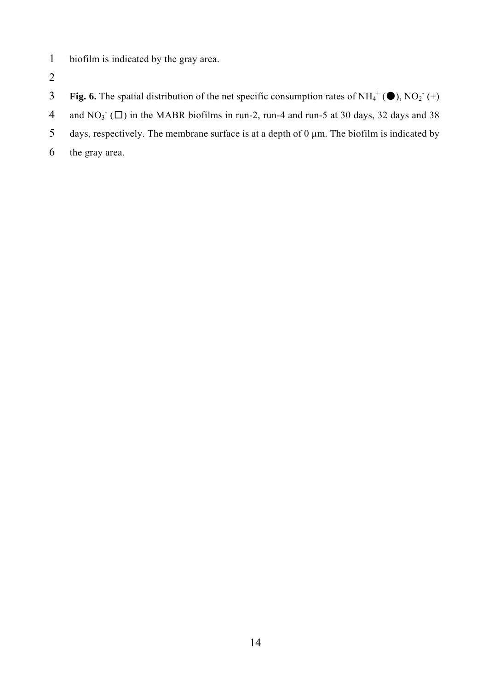- 1 biofilm is indicated by the gray area.
- 2
- **Fig. 6.** The spatial distribution of the net specific consumption rates of  $NH_4^+(\bullet)$ ,  $NO_2^-(+)$
- 4 and NO<sub>3</sub> ( $\square$ ) in the MABR biofilms in run-2, run-4 and run-5 at 30 days, 32 days and 38
- 5 days, respectively. The membrane surface is at a depth of  $0 \mu$ m. The biofilm is indicated by
- 6 the gray area.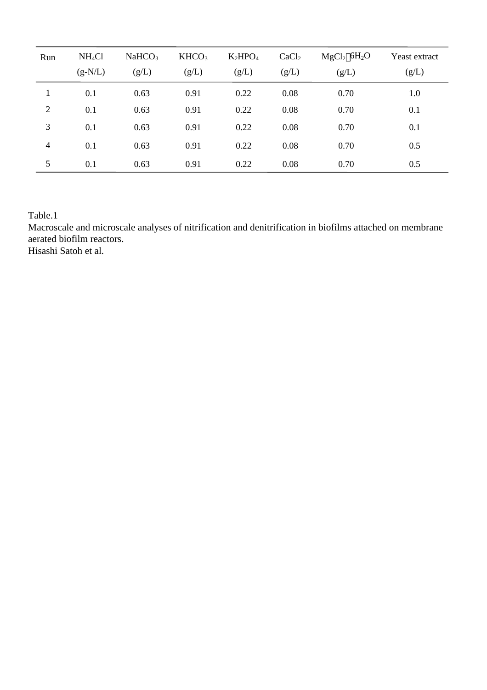| Run            | NH <sub>4</sub> Cl | NaHCO <sub>3</sub> | KHCO <sub>3</sub> | $K_2HPO_4$ | CaCl <sub>2</sub> | MgCl <sub>2</sub> 6H <sub>2</sub> O<br>Yeast extract |       |
|----------------|--------------------|--------------------|-------------------|------------|-------------------|------------------------------------------------------|-------|
|                | $(g-N/L)$          | (g/L)              | (g/L)             | (g/L)      | (g/L)             | (g/L)                                                | (g/L) |
|                | 0.1                | 0.63               | 0.91              | 0.22       | 0.08              | 0.70                                                 | 1.0   |
| $\overline{2}$ | 0.1                | 0.63               | 0.91              | 0.22       | 0.08              | 0.70                                                 | 0.1   |
| 3              | 0.1                | 0.63               | 0.91              | 0.22       | 0.08              | 0.70                                                 | 0.1   |
| $\overline{4}$ | 0.1                | 0.63               | 0.91              | 0.22       | 0.08              | 0.70                                                 | 0.5   |
| 5              | 0.1                | 0.63               | 0.91              | 0.22       | 0.08              | 0.70                                                 | 0.5   |

Table.1

Macroscale and microscale analyses of nitrification and denitrification in biofilms attached on membrane aerated biofilm reactors.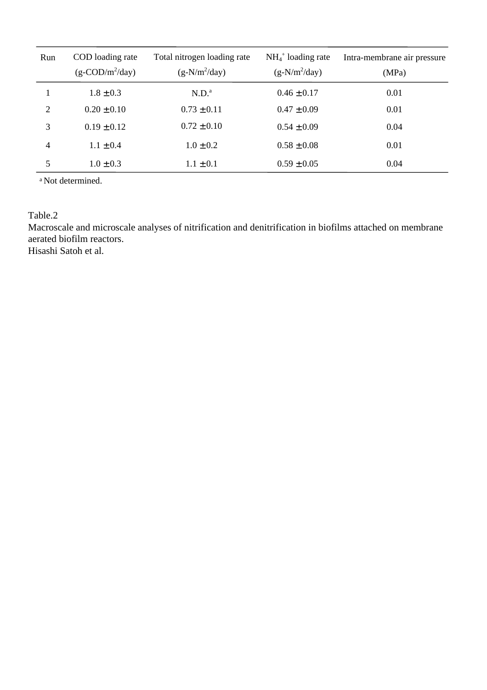| Run | COD loading rate<br>$(g-COD/m^2/day)$ | Total nitrogen loading rate<br>$(g-N/m^2/day)$ | $NH_4^+$ loading rate<br>$(g-N/m^2/day)$ | Intra-membrane air pressure<br>(MPa) |
|-----|---------------------------------------|------------------------------------------------|------------------------------------------|--------------------------------------|
|     | $1.8 \pm 0.3$                         | N.D. <sup>a</sup>                              | $0.46 \pm 0.17$                          | 0.01                                 |
| 2   | $0.20 \pm 0.10$                       | $0.73 \pm 0.11$                                | $0.47 \pm 0.09$                          | 0.01                                 |
| 3   | $0.19 \pm 0.12$                       | $0.72 \pm 0.10$                                | $0.54 \pm 0.09$                          | 0.04                                 |
| 4   | $1.1 \pm 0.4$                         | $1.0 \pm 0.2$                                  | $0.58 \pm 0.08$                          | 0.01                                 |
| 5   | $1.0 \pm 0.3$                         | $1.1 \pm 0.1$                                  | $0.59 \pm 0.05$                          | 0.04                                 |

a Not determined.

Table.2

Macroscale and microscale analyses of nitrification and denitrification in biofilms attached on membrane aerated biofilm reactors.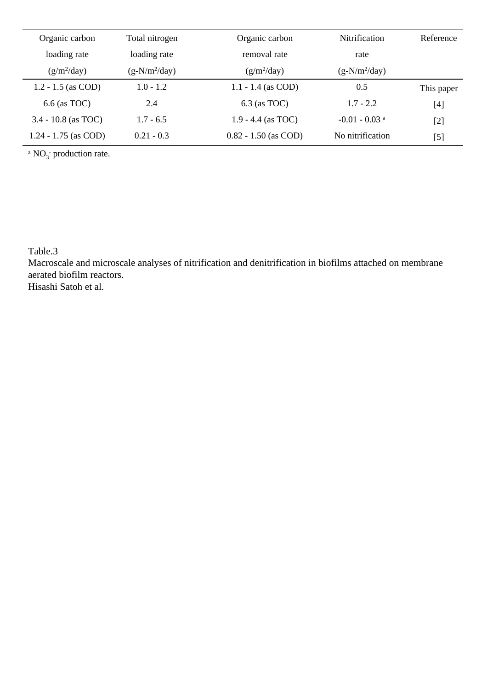| Organic carbon |                        | Total nitrogen  | Organic carbon         | <b>Nitrification</b>        | Reference                                                                                                                                                            |
|----------------|------------------------|-----------------|------------------------|-----------------------------|----------------------------------------------------------------------------------------------------------------------------------------------------------------------|
|                | loading rate           | loading rate    | removal rate           | rate                        |                                                                                                                                                                      |
|                | $(g/m^2/day)$          | $(g-N/m^2/day)$ | $(g/m^2/day)$          | $(g-N/m^2/day)$             |                                                                                                                                                                      |
|                | $1.2 - 1.5$ (as COD)   | $1.0 - 1.2$     | $1.1 - 1.4$ (as COD)   | 0.5                         | This paper                                                                                                                                                           |
|                | $6.6$ (as TOC)         | 2.4             | $6.3$ (as TOC)         | $1.7 - 2.2$                 | $[4] % \includegraphics[width=1\textwidth]{images/TrDiM-Architecture.png} \caption{The figure shows the number of three different ways.} \label{TrDiM-Architecture}$ |
|                | $3.4 - 10.8$ (as TOC)  | $1.7 - 6.5$     | $1.9 - 4.4$ (as TOC)   | $-0.01 - 0.03$ <sup>a</sup> | $[2]$                                                                                                                                                                |
|                | $1.24 - 1.75$ (as COD) | $0.21 - 0.3$    | $0.82 - 1.50$ (as COD) | No nitrification            | $\lbrack 5 \rbrack$                                                                                                                                                  |

 ${}^{\text{a}}$  NO<sub>3</sub> production rate.

Table.3

Macroscale and microscale analyses of nitrification and denitrification in biofilms attached on membrane aerated biofilm reactors.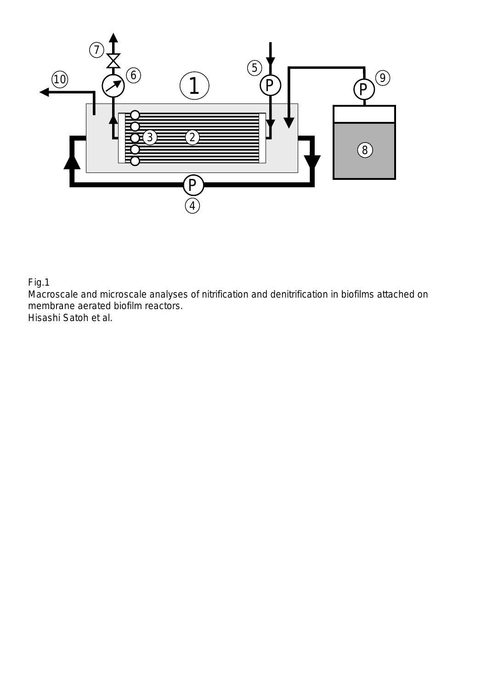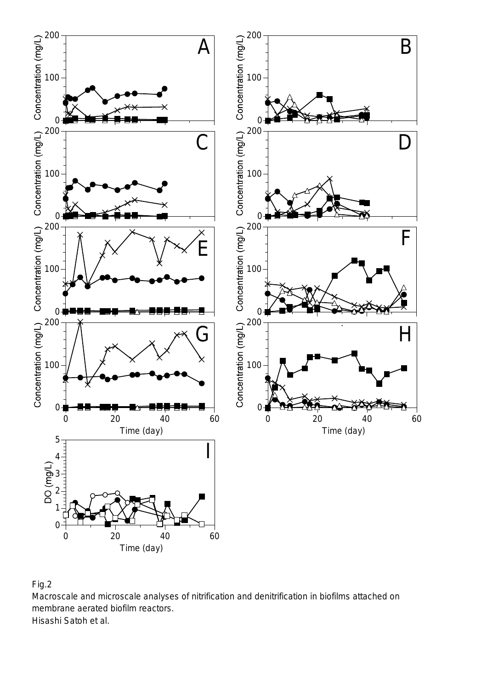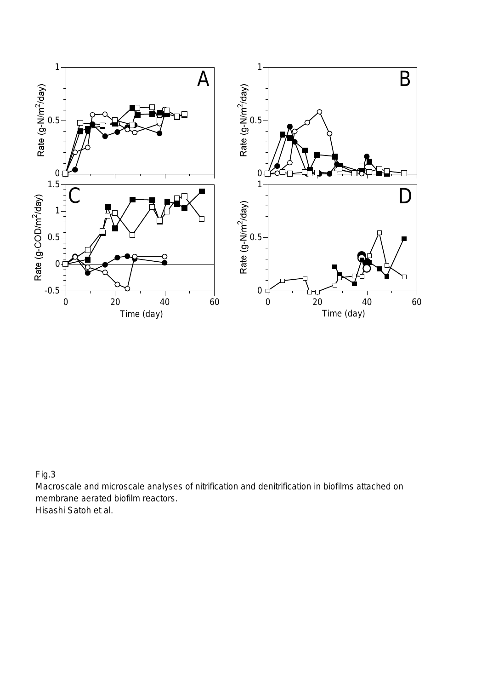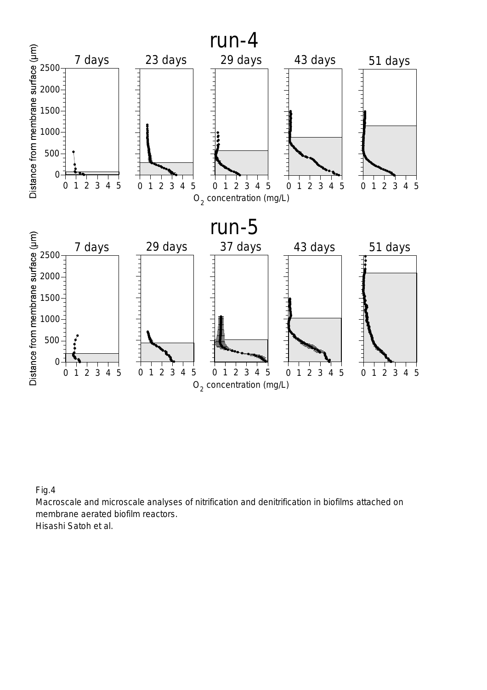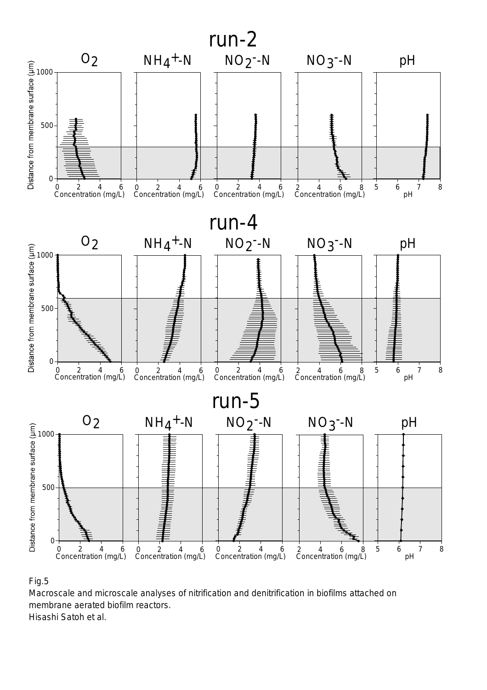

Macroscale and microscale analyses of nitrification and denitrification in biofilms attached on membrane aerated biofilm reactors.